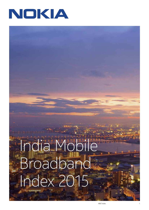

# India Mobile Broadband Index 2015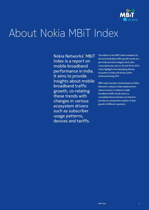

# About Nokia MBiT Index

Nokia Networks' MBiT Index is a report on mobile broadband performance in India. It aims to provide insights about mobile broadband traffic growth, co-relating these trends with changes in various ecosystem drivers such as subscriber usage patterns, devices and tariffs.

This edition of the MBiT Index evaluates 2G, 3G and overall data traffic growth trends at a pan-India and circle category level, data consumption per user on 2G and 3G for 2014. It also highlights the developing devices ecosystem in India and the key shifts witnessed during 2014.

MBiT Index has been created based on Nokia Networks' analysis of data obtained from various sources. It analyses mobile broadband traffic trends only at a consolidated level and does not intend to provide any comparative analysis of data growth of different operators. Index 2**MB T**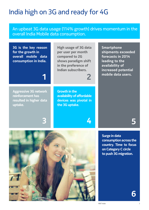### India high on 3G and ready for 4G

### An upbeat 3G data usage (114% growth) drives momentum in the overall India Mobile data consumption.

**3G is the key reason for the growth in overall mobile data consumption in India.**

**High usage of 3G data per user per month compared to 2G shows paradigm shift in the preference of Indian subscribers.**

**2**

**Growth in the availability of affordable devices was pivotal in the 3G uptake.**

**Smartphone shipments exceeded forecasts in 2014 leading to the availability of increased potential mobile data users.**

**Aggressive 3G network reinforcement has resulted in higher data uptake.**

**1**

**3 4 5**

**Surge in data consumption across the country. Time to focus on Category C circle to push 3G migration.**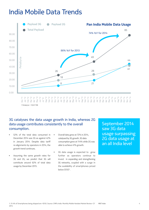### India Mobile Data Trends



#### 3G catalyses the data usage growth in India, whereas 2G data usage contributes consistently to the overall consumption.

- 52% of the total data consumed in December 2014 was 3G as against 42% in January 2014. Despite data tariff re-alignments by operators in 2014, the growth trend continues.
- Assuming the same growth rates for 3G and 2G, we predict that 3G will contribute around 62% of total data usage by December 2015.
- Overall data grew at 72% in 2014, catalysed by 3G growth. 3G data consumption grew at 114% while 2G was able to achieve 41% growth.
- 3G data usage is expected to grow further as operators continue to invest in expanding and strengthening 3G networks, coupled with a surge in the availability of smartphones priced below \$1501.

September 2014 saw 3G data usage surpassing 2G data usage at an all India level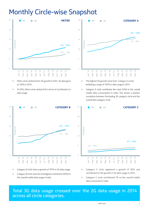### Monthly Circle-wise Snapshot



- Metro circle ranked 2nd in 3G growth in 2014. 3G data grew at 120% in 2014.
- At 20%, Metro circle ranked 3rd in terms of contribution to data usage.



- The highest 3G growth came from Category A circle, exhibiting a surge of 129% in data usage in 2014.
- Category A circle contributes the most (43%) to the overall mobile data consumption in India. This shows a positive correlation between the leading 3G category circle and the overall data category circle.



- Category B circle show a growth of 107% in 3G data usage.
- Category B circle were the 2nd highest contributor (30%) to the overall mobile data usage in India.



- Category C circle registered a growth of 90% and contributed to the growth in 3G data usage in 2014.
- Category C circle contributed 7% to the overall mobile data consumed in India.

## Total 3G data usage crossed over the 2G data usage in 2014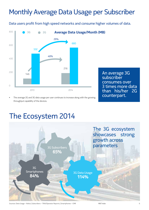### Monthly Average Data Usage per Subscriber

Data users profit from high speed networks and consume higher volumes of data.



An average 3G subscriber consumes over 3 times more data than his/her 2G counterpart.

• The average 2G and 3G data usage per user continues to increase along with the growing throughput capability of the devices.

### The Ecosystem 2014



Sources: Data Usage – Nokia | Subscribers – TRAI/Operator Reports | Smartphones – CMR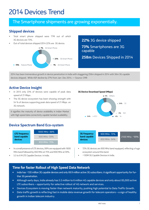### 2014 Devices Trend

### The Smartphone shipments are growing exponentially.

#### **Shipped devices**

- Total smart phone shipped were 77M out of which 3G devices are 73%.
- Out of total devices shipped 2014 22% are 3G device.



**22%** 3G device shipped **73%** Smartphones are 3G

**258m** Devices Shipped in 2014

2014 has been tremendous growth in device penetration in India with staggering 258m shipped in 2014 with 56m 3G capable devices shipped. While ASP decline by 27% from Jan- Dec 2014. — Source: CMR

#### **Active Device Insight**

- In 2013 only 23% of devices were capable of peak data speed of 21 Mbps .
- The 3G device ecosystem has been showing strength with 54 % of devices supporting peak data speed of 21 Mbps on 3G network.

It signifies the maturity of device availability in Indian Market with High speed data connectivity capable handset availability.

### **Device Spectrum Band Eco-system**



- In a small presence of LTE devices, 88% are equipped with 1800 MHz band followed by 850 MHz at 75% and 900 MHz at 59%.
- 5.5 to 6 M LTE Capable Devices in India.

**3G Device Download Speed (Mbps)**

capable



- 72% 3G devices are 900 MHz band equipped, reflecting a huge ecosystem around this band.
- ~130M 3G Capable Devices in India.

#### **Time for faster Rollout of High Speed Data Network**

- India has ~130 million 3G capable devices and only 69.9 million active 3G subscribers. A significant opportunity for further 3G penetration.
- Although early days, India already has 5.5 million to 6 million 4G capable devices and only about 85,000 active LTE subscribers – opportunity for selective rollout of 4G network and services.
- Devices Ecosystem is moving faster than network maturity, pushing high potential to Data Traffic Growth.
- Data traffic growth is reflecting fast in mobile data revenue growth for telecom operators a sign of healthy growth in Indian telecom industry.